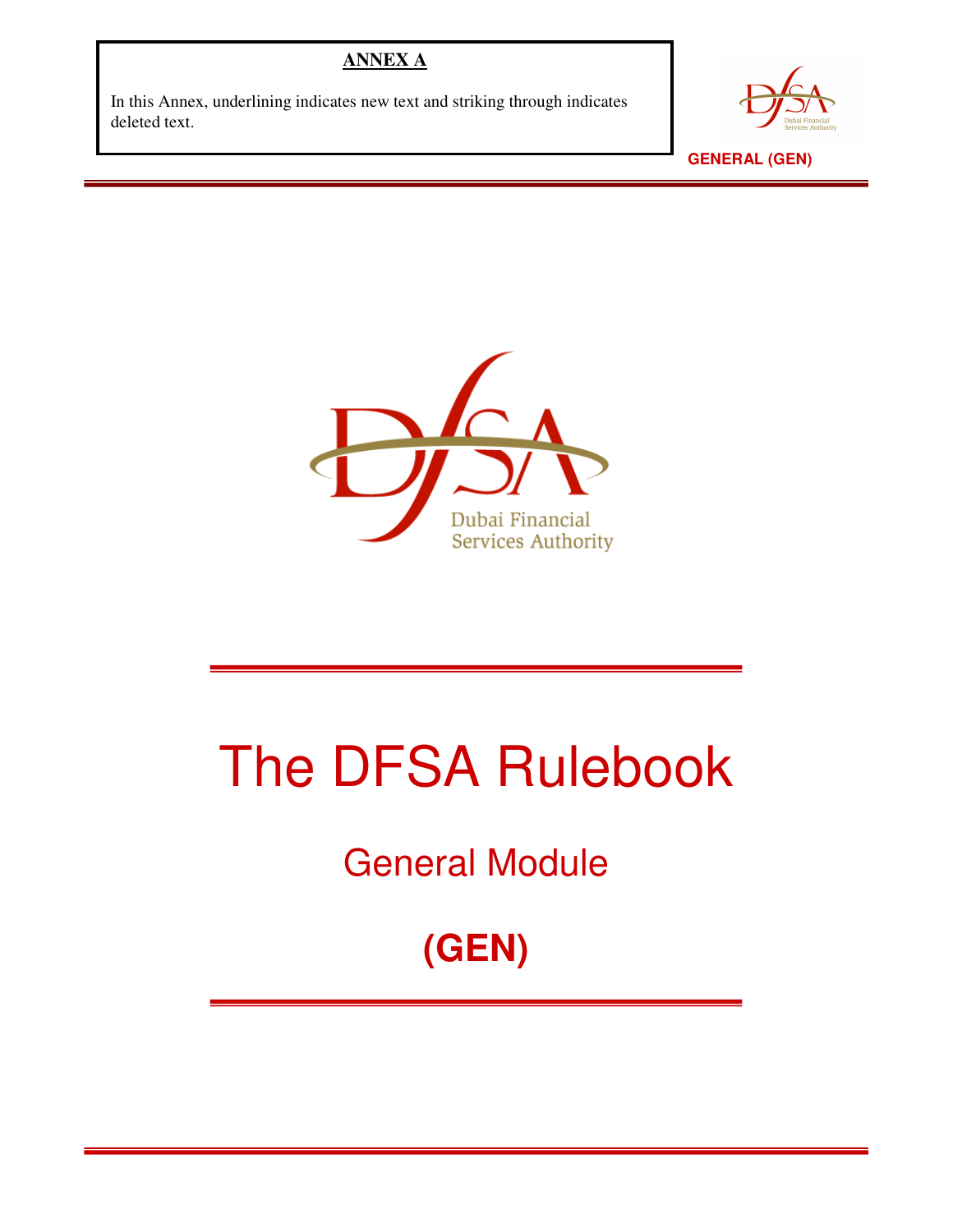## **ANNEX A**

In this Annex, underlining indicates new text and striking through indicates deleted text.



 **GENERAL (GEN)** 



# The DFSA Rulebook

General Module

**(GEN)**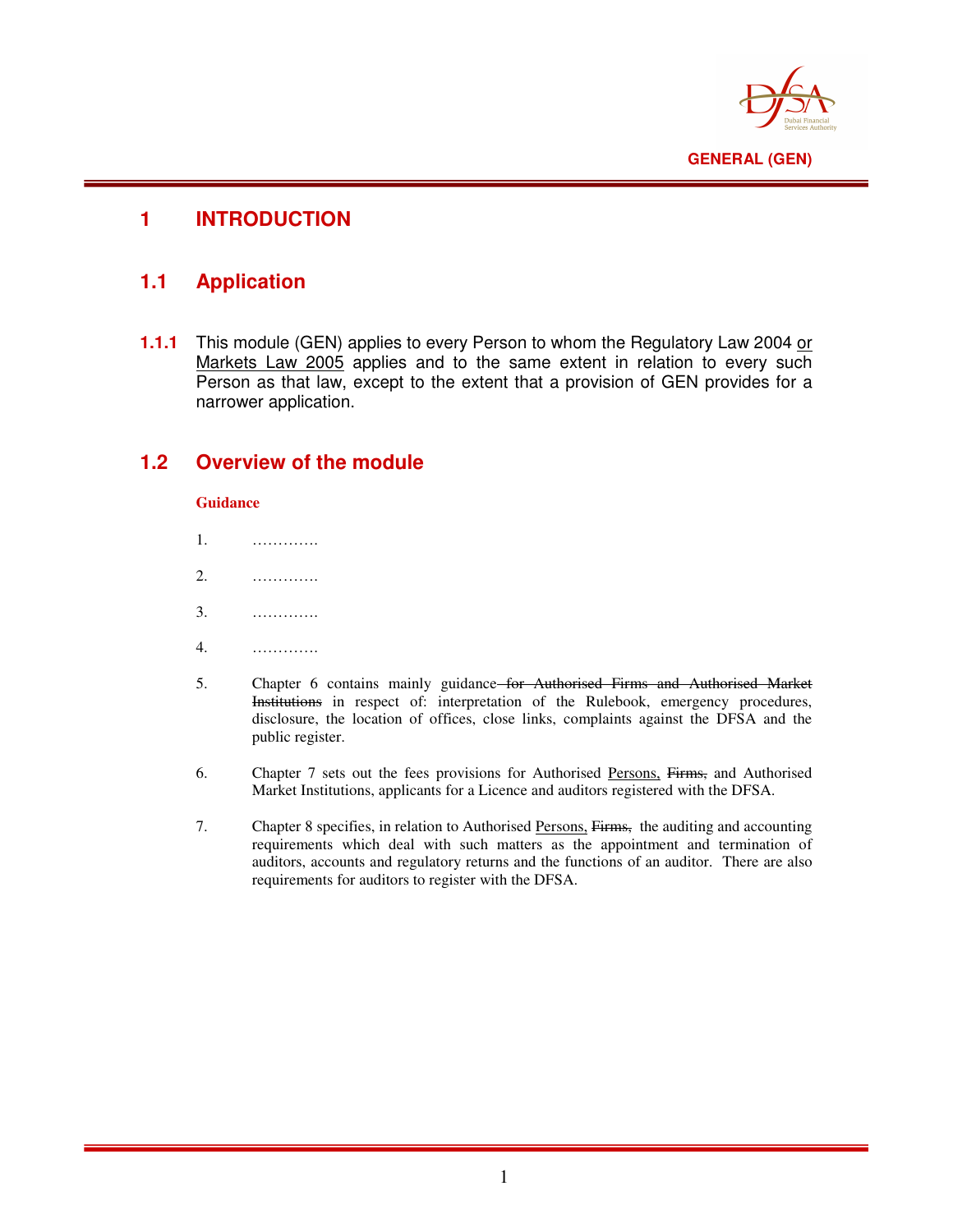

## **1 INTRODUCTION**

## **1.1 Application**

**1.1.1** This module (GEN) applies to every Person to whom the Regulatory Law 2004 or Markets Law 2005 applies and to the same extent in relation to every such Person as that law, except to the extent that a provision of GEN provides for a narrower application.

## **1.2 Overview of the module**

#### **Guidance**

- 1. ………….
- 2. ………….
- 3. ………….
- 4. ………….
- 5. Chapter 6 contains mainly guidance for Authorised Firms and Authorised Market Institutions in respect of: interpretation of the Rulebook, emergency procedures, disclosure, the location of offices, close links, complaints against the DFSA and the public register.
- 6. Chapter 7 sets out the fees provisions for Authorised Persons, Firms, and Authorised Market Institutions, applicants for a Licence and auditors registered with the DFSA.
- 7. Chapter 8 specifies, in relation to Authorised Persons, Firms, the auditing and accounting requirements which deal with such matters as the appointment and termination of auditors, accounts and regulatory returns and the functions of an auditor. There are also requirements for auditors to register with the DFSA.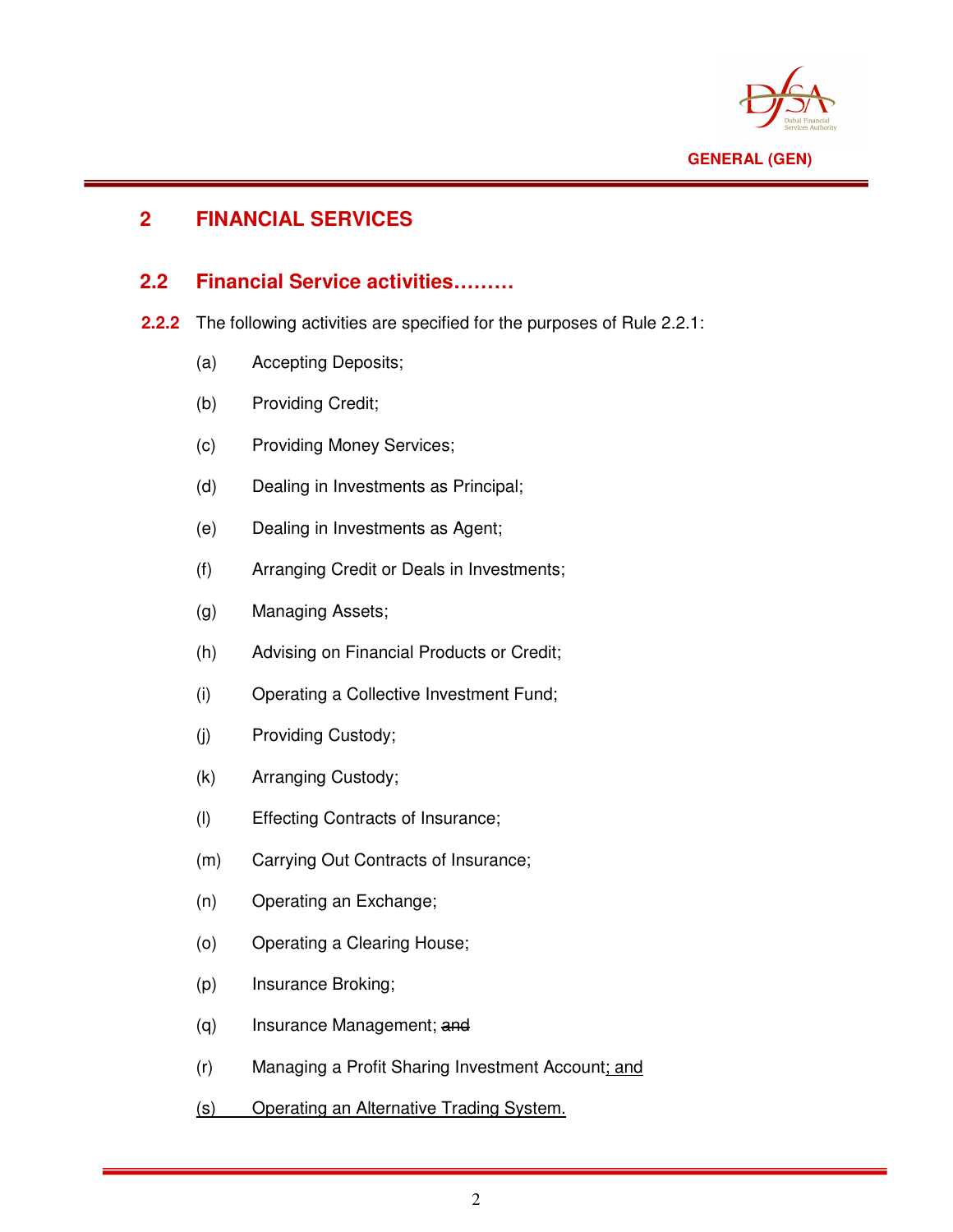

# **2 FINANCIAL SERVICES**

#### **2.2 Financial Service activities………**

- **2.2.2** The following activities are specified for the purposes of Rule 2.2.1:
	- (a) Accepting Deposits;
	- (b) Providing Credit;
	- (c) Providing Money Services;
	- (d) Dealing in Investments as Principal;
	- (e) Dealing in Investments as Agent;
	- (f) Arranging Credit or Deals in Investments;
	- (g) Managing Assets;
	- (h) Advising on Financial Products or Credit;
	- (i) Operating a Collective Investment Fund;
	- (j) Providing Custody;
	- (k) Arranging Custody;
	- (l) Effecting Contracts of Insurance;
	- (m) Carrying Out Contracts of Insurance;
	- (n) Operating an Exchange;
	- (o) Operating a Clearing House;
	- (p) Insurance Broking;
	- (q) Insurance Management; and
	- (r) Managing a Profit Sharing Investment Account; and
	- (s) Operating an Alternative Trading System.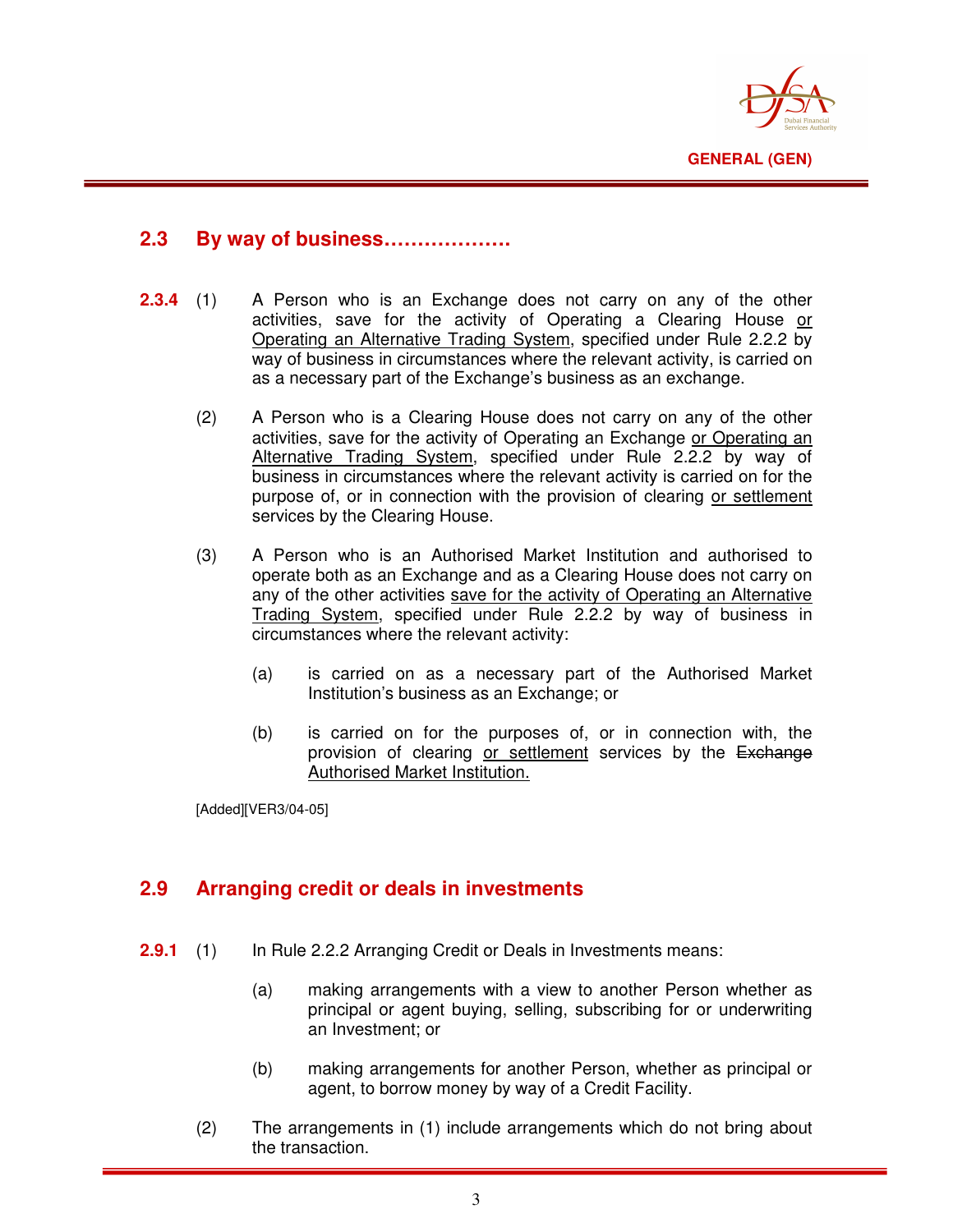

#### **2.3 By way of business……………….**

- **2.3.4** (1) A Person who is an Exchange does not carry on any of the other activities, save for the activity of Operating a Clearing House or Operating an Alternative Trading System, specified under Rule 2.2.2 by way of business in circumstances where the relevant activity, is carried on as a necessary part of the Exchange's business as an exchange.
	- (2) A Person who is a Clearing House does not carry on any of the other activities, save for the activity of Operating an Exchange or Operating an Alternative Trading System, specified under Rule 2.2.2 by way of business in circumstances where the relevant activity is carried on for the purpose of, or in connection with the provision of clearing or settlement services by the Clearing House.
	- (3) A Person who is an Authorised Market Institution and authorised to operate both as an Exchange and as a Clearing House does not carry on any of the other activities save for the activity of Operating an Alternative Trading System, specified under Rule 2.2.2 by way of business in circumstances where the relevant activity:
		- (a) is carried on as a necessary part of the Authorised Market Institution's business as an Exchange; or
		- (b) is carried on for the purposes of, or in connection with, the provision of clearing or settlement services by the Exchange Authorised Market Institution.

[Added][VER3/04-05]

#### **2.9 Arranging credit or deals in investments**

- **2.9.1** (1) In Rule 2.2.2 Arranging Credit or Deals in Investments means:
	- (a) making arrangements with a view to another Person whether as principal or agent buying, selling, subscribing for or underwriting an Investment; or
	- (b) making arrangements for another Person, whether as principal or agent, to borrow money by way of a Credit Facility.
	- (2) The arrangements in (1) include arrangements which do not bring about the transaction.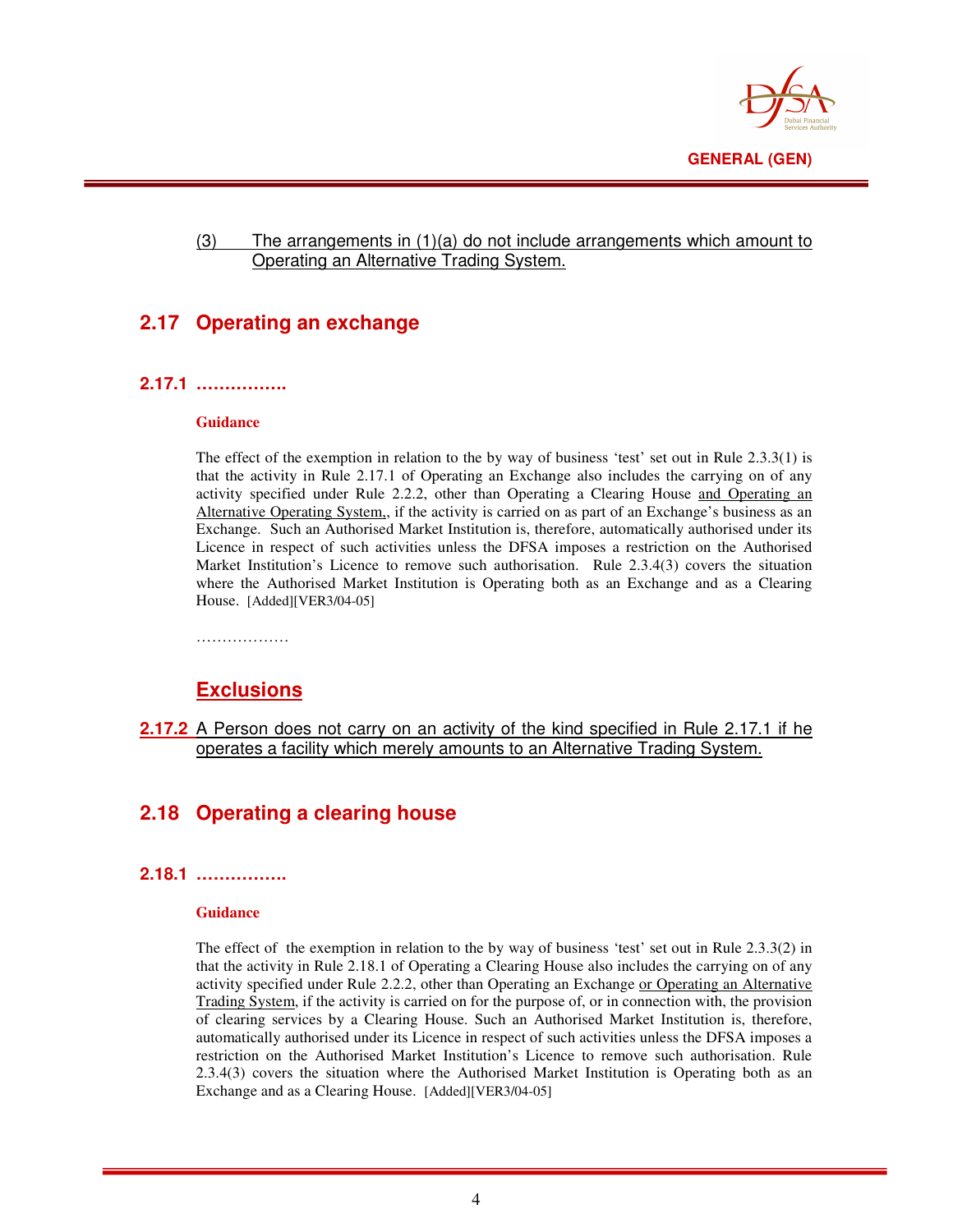

#### (3) The arrangements in (1)(a) do not include arrangements which amount to Operating an Alternative Trading System.

# **2.17 Operating an exchange**

#### **2.17.1 …………….**

#### **Guidance**

The effect of the exemption in relation to the by way of business 'test' set out in Rule 2.3.3(1) is that the activity in Rule 2.17.1 of Operating an Exchange also includes the carrying on of any activity specified under Rule 2.2.2, other than Operating a Clearing House and Operating an Alternative Operating System,, if the activity is carried on as part of an Exchange's business as an Exchange. Such an Authorised Market Institution is, therefore, automatically authorised under its Licence in respect of such activities unless the DFSA imposes a restriction on the Authorised Market Institution's Licence to remove such authorisation. Rule 2.3.4(3) covers the situation where the Authorised Market Institution is Operating both as an Exchange and as a Clearing House. [Added][VER3/04-05]

#### **Exclusions**

**2.17.2** A Person does not carry on an activity of the kind specified in Rule 2.17.1 if he operates a facility which merely amounts to an Alternative Trading System.

# **2.18 Operating a clearing house**

#### **2.18.1 …………….**

#### **Guidance**

The effect of the exemption in relation to the by way of business 'test' set out in Rule 2.3.3(2) in that the activity in Rule 2.18.1 of Operating a Clearing House also includes the carrying on of any activity specified under Rule 2.2.2, other than Operating an Exchange or Operating an Alternative Trading System, if the activity is carried on for the purpose of, or in connection with, the provision of clearing services by a Clearing House. Such an Authorised Market Institution is, therefore, automatically authorised under its Licence in respect of such activities unless the DFSA imposes a restriction on the Authorised Market Institution's Licence to remove such authorisation. Rule 2.3.4(3) covers the situation where the Authorised Market Institution is Operating both as an Exchange and as a Clearing House. [Added][VER3/04-05]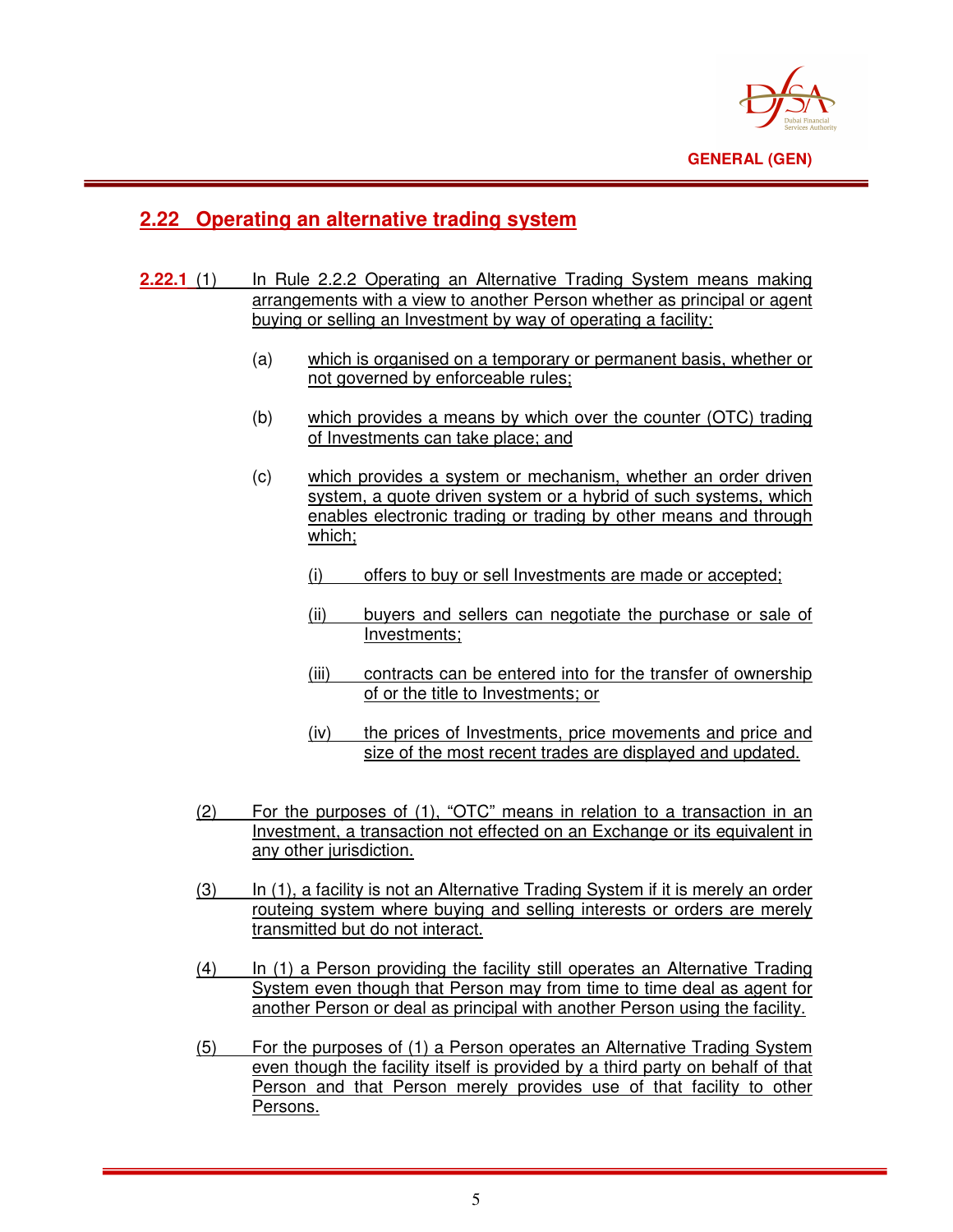

## **2.22 Operating an alternative trading system**

- **2.22.1** (1) In Rule 2.2.2 Operating an Alternative Trading System means making arrangements with a view to another Person whether as principal or agent buying or selling an Investment by way of operating a facility:
	- (a) which is organised on a temporary or permanent basis, whether or not governed by enforceable rules;
	- (b) which provides a means by which over the counter (OTC) trading of Investments can take place; and
	- (c) which provides a system or mechanism, whether an order driven system, a quote driven system or a hybrid of such systems, which enables electronic trading or trading by other means and through which;
		- (i) offers to buy or sell Investments are made or accepted;
		- (ii) buyers and sellers can negotiate the purchase or sale of Investments;
		- (iii) contracts can be entered into for the transfer of ownership of or the title to Investments; or
		- (iv) the prices of Investments, price movements and price and size of the most recent trades are displayed and updated.
	- (2) For the purposes of (1), "OTC" means in relation to a transaction in an Investment, a transaction not effected on an Exchange or its equivalent in any other jurisdiction.
	- (3) In (1), a facility is not an Alternative Trading System if it is merely an order routeing system where buying and selling interests or orders are merely transmitted but do not interact.
	- (4) In (1) a Person providing the facility still operates an Alternative Trading System even though that Person may from time to time deal as agent for another Person or deal as principal with another Person using the facility.
	- (5) For the purposes of (1) a Person operates an Alternative Trading System even though the facility itself is provided by a third party on behalf of that Person and that Person merely provides use of that facility to other Persons.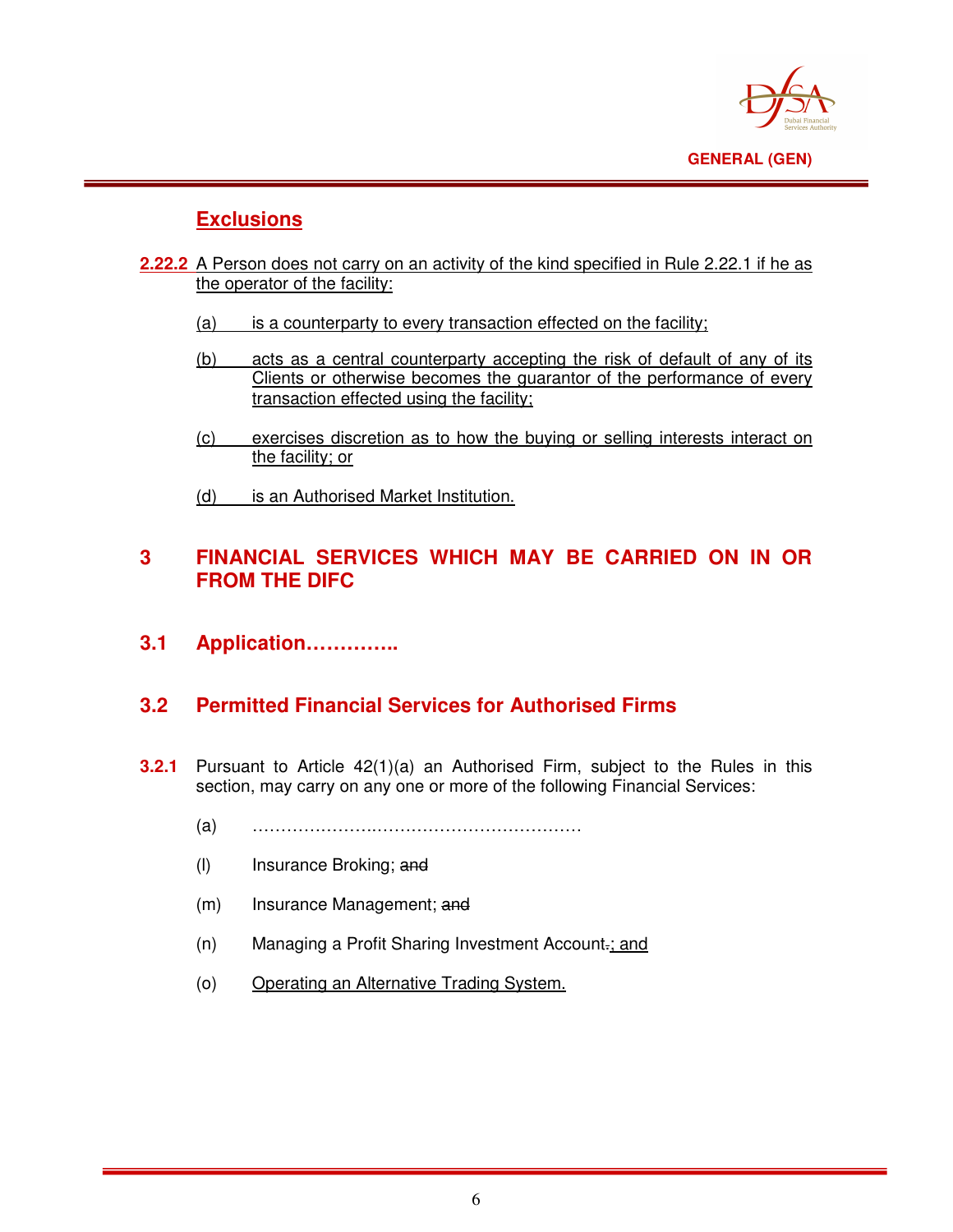

# **Exclusions**

- **2.22.2** A Person does not carry on an activity of the kind specified in Rule 2.22.1 if he as the operator of the facility:
	- (a) is a counterparty to every transaction effected on the facility;
	- (b) acts as a central counterparty accepting the risk of default of any of its Clients or otherwise becomes the guarantor of the performance of every transaction effected using the facility;
	- (c) exercises discretion as to how the buying or selling interests interact on the facility; or
	- (d) is an Authorised Market Institution.

## **3 FINANCIAL SERVICES WHICH MAY BE CARRIED ON IN OR FROM THE DIFC**

**3.1 Application…………..** 

#### **3.2 Permitted Financial Services for Authorised Firms**

- **3.2.1** Pursuant to Article 42(1)(a) an Authorised Firm, subject to the Rules in this section, may carry on any one or more of the following Financial Services:
	- (a) ………………….………………………………
	- (l) Insurance Broking; and
	- (m) Insurance Management; and
	- (n) Managing a Profit Sharing Investment Account.; and
	- (o) Operating an Alternative Trading System.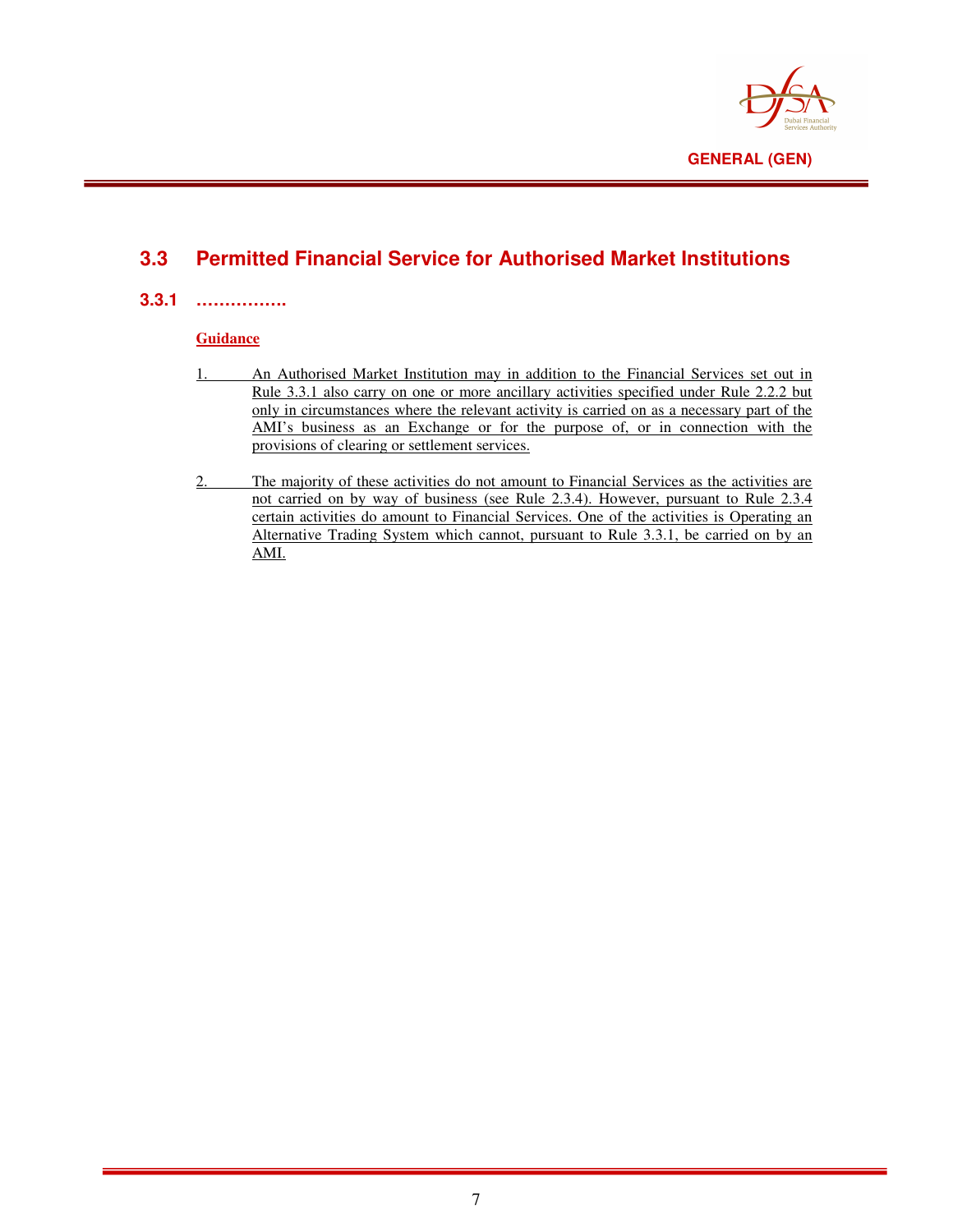

# **3.3 Permitted Financial Service for Authorised Market Institutions**

#### **3.3.1 …………….**

#### **Guidance**

- 1. An Authorised Market Institution may in addition to the Financial Services set out in Rule 3.3.1 also carry on one or more ancillary activities specified under Rule 2.2.2 but only in circumstances where the relevant activity is carried on as a necessary part of the AMI's business as an Exchange or for the purpose of, or in connection with the provisions of clearing or settlement services.
- 2. The majority of these activities do not amount to Financial Services as the activities are not carried on by way of business (see Rule 2.3.4). However, pursuant to Rule 2.3.4 certain activities do amount to Financial Services. One of the activities is Operating an Alternative Trading System which cannot, pursuant to Rule 3.3.1, be carried on by an AMI.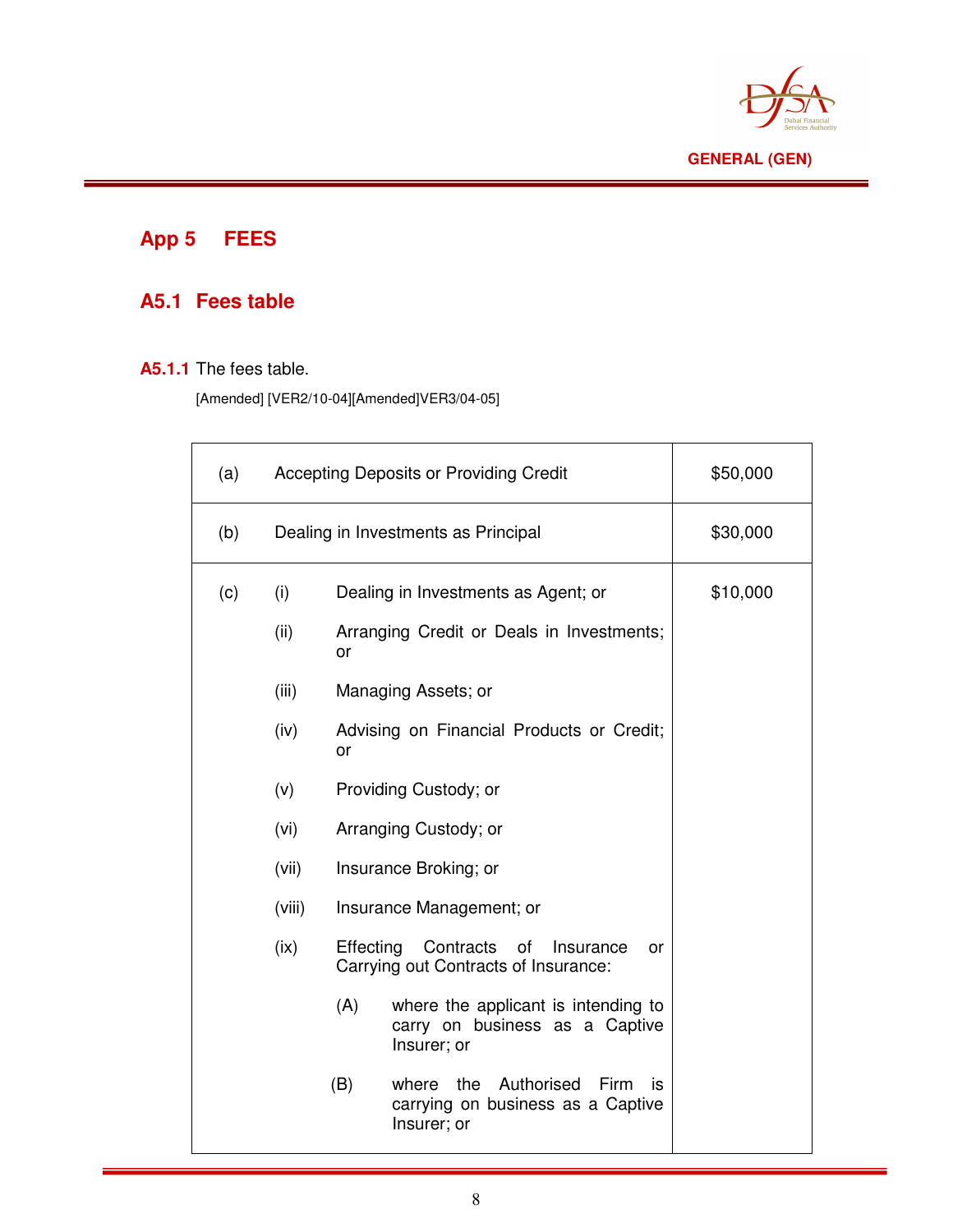

# **App 5 FEES**

# **A5.1 Fees table**

#### **A5.1.1** The fees table.

[Amended] [VER2/10-04][Amended]VER3/04-05]

| (a) |                                     | Accepting Deposits or Providing Credit | \$50,000                                                                                     |          |
|-----|-------------------------------------|----------------------------------------|----------------------------------------------------------------------------------------------|----------|
| (b) | Dealing in Investments as Principal |                                        |                                                                                              | \$30,000 |
| (c) | (i)                                 |                                        | Dealing in Investments as Agent; or                                                          | \$10,000 |
|     | (ii)                                | or                                     | Arranging Credit or Deals in Investments;                                                    |          |
|     | (iii)                               |                                        | Managing Assets; or                                                                          |          |
|     | (iv)                                | or                                     | Advising on Financial Products or Credit;                                                    |          |
|     | (v)                                 |                                        | Providing Custody; or                                                                        |          |
|     | (vi)                                |                                        | Arranging Custody; or                                                                        |          |
|     | (vii)                               |                                        | Insurance Broking; or                                                                        |          |
|     | (viii)                              |                                        | Insurance Management; or                                                                     |          |
|     | (ix)                                | Effecting                              | Contracts of<br>Insurance<br>or<br>Carrying out Contracts of Insurance:                      |          |
|     |                                     | (A)                                    | where the applicant is intending to<br>carry on business as a Captive<br>Insurer; or         |          |
|     |                                     | (B)                                    | the<br>Authorised<br>Firm<br>where<br>İS<br>carrying on business as a Captive<br>Insurer; or |          |